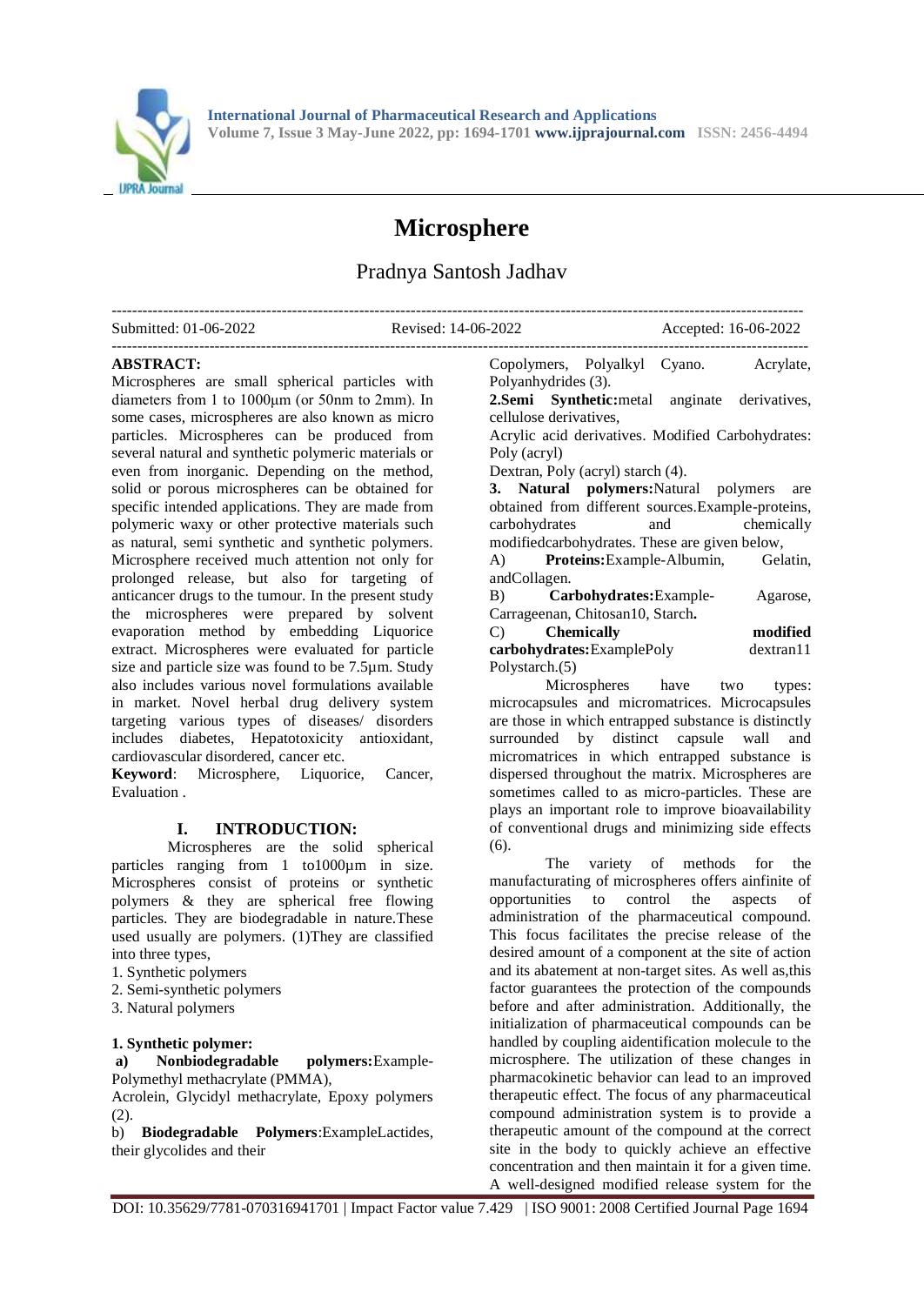

# **Microsphere**

# Pradnya Santosh Jadhav

| Submitted: 01-06-2022 | Revised: 14-06-2022 | Accepted: 16-06-2022 |
|-----------------------|---------------------|----------------------|
|                       |                     |                      |

#### **ABSTRACT:**

Microspheres are small spherical particles with diameters from 1 to 1000μm (or 50nm to 2mm). In some cases, microspheres are also known as micro particles. Microspheres can be produced from several natural and synthetic polymeric materials or even from inorganic. Depending on the method, solid or porous microspheres can be obtained for specific intended applications. They are made from polymeric waxy or other protective materials such as natural, semi synthetic and synthetic polymers. Microsphere received much attention not only for prolonged release, but also for targeting of anticancer drugs to the tumour. In the present study the microspheres were prepared by solvent evaporation method by embedding Liquorice extract. Microspheres were evaluated for particle size and particle size was found to be 7.5µm. Study also includes various novel formulations available in market. Novel herbal drug delivery system targeting various types of diseases/ disorders includes diabetes, Hepatotoxicity antioxidant, cardiovascular disordered, cancer etc.

**Keyword:** Microsphere, Liquorice, Cancer, Evaluation .

## **I. INTRODUCTION:**

Microspheres are the solid spherical particles ranging from 1 to1000µm in size. Microspheres consist of proteins or synthetic polymers & they are spherical free flowing particles. They are biodegradable in nature.These used usually are polymers. (1)They are classified into three types,

- 1. Synthetic polymers
- 2. Semi-synthetic polymers
- 3. Natural polymers

#### **1. Synthetic polymer:**

**a) Nonbiodegradable polymers:**Example-Polymethyl methacrylate (PMMA),

Acrolein, Glycidyl methacrylate, Epoxy polymers (2).

b) **Biodegradable Polymers**:ExampleLactides, their glycolides and their

Copolymers, Polyalkyl Cyano. Acrylate, Polyanhydrides (3). **2.Semi Synthetic:**metal anginate derivatives, cellulose derivatives,

Acrylic acid derivatives. Modified Carbohydrates: Poly (acryl)

Dextran, Poly (acryl) starch (4).

**3. Natural polymers:**Natural polymers are obtained from different sources.Example-proteins, carbohydrates and chemically modifiedcarbohydrates. These are given below, A) **Proteins:**Example-Albumin, Gelatin,

andCollagen.

B) **Carbohydrates:**Example- Agarose, Carrageenan, Chitosan10, Starch**.**

| $\mathcal{C}$<br><b>Chemically</b> | modified  |
|------------------------------------|-----------|
| carbohydrates: ExamplePoly         | dextran11 |
| Polystarch. (5)                    |           |

Microspheres have two types: microcapsules and micromatrices. Microcapsules are those in which entrapped substance is distinctly surrounded by distinct capsule wall and micromatrices in which entrapped substance is dispersed throughout the matrix. Microspheres are sometimes called to as micro-particles. These are plays an important role to improve bioavailability of conventional drugs and minimizing side effects (6).

The variety of methods for the manufacturating of microspheres offers ainfinite of opportunities to control the aspects of administration of the pharmaceutical compound. This focus facilitates the precise release of the desired amount of a component at the site of action and its abatement at non-target sites. As well as,this factor guarantees the protection of the compounds before and after administration. Additionally, the initialization of pharmaceutical compounds can be handled by coupling aidentification molecule to the microsphere. The utilization of these changes in pharmacokinetic behavior can lead to an improved therapeutic effect. The focus of any pharmaceutical compound administration system is to provide a therapeutic amount of the compound at the correct site in the body to quickly achieve an effective concentration and then maintain it for a given time. A well-designed modified release system for the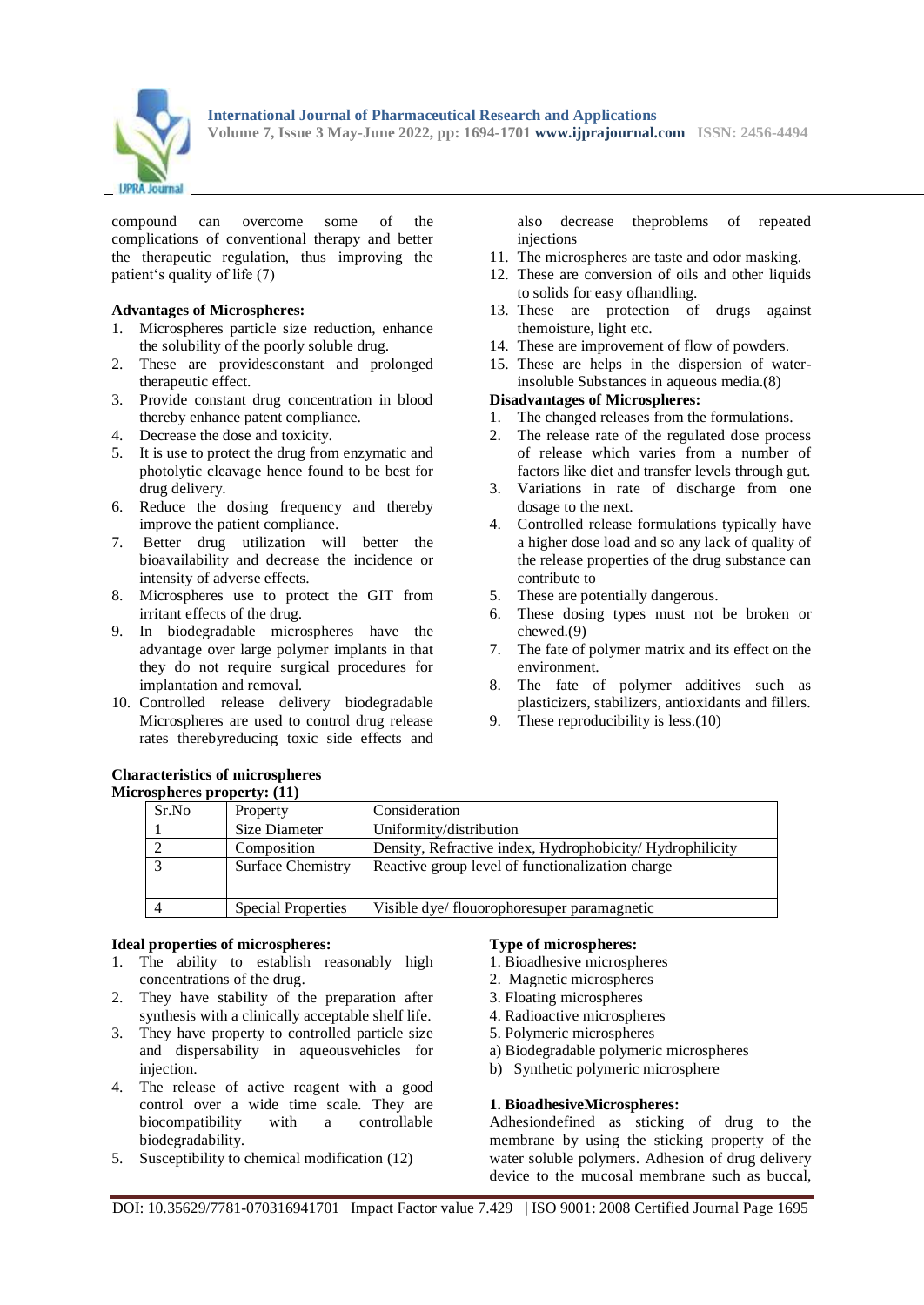

compound can overcome some of the complications of conventional therapy and better the therapeutic regulation, thus improving the patient's quality of life (7)

#### **Advantages of Microspheres:**

- 1. Microspheres particle size reduction, enhance the solubility of the poorly soluble drug.
- 2. These are providesconstant and prolonged therapeutic effect.
- 3. Provide constant drug concentration in blood thereby enhance patent compliance.
- 4. Decrease the dose and toxicity.
- 5. It is use to protect the drug from enzymatic and photolytic cleavage hence found to be best for drug delivery.
- 6. Reduce the dosing frequency and thereby improve the patient compliance.
- 7. Better drug utilization will better the bioavailability and decrease the incidence or intensity of adverse effects.
- 8. Microspheres use to protect the GIT from irritant effects of the drug.
- 9. In biodegradable microspheres have the advantage over large polymer implants in that they do not require surgical procedures for implantation and removal.
- 10. Controlled release delivery biodegradable Microspheres are used to control drug release rates therebyreducing toxic side effects and

also decrease theproblems of repeated injections

- 11. The microspheres are taste and odor masking.
- 12. These are conversion of oils and other liquids to solids for easy ofhandling.
- 13. These are protection of drugs against themoisture, light etc.
- 14. These are improvement of flow of powders.
- 15. These are helps in the dispersion of waterinsoluble Substances in aqueous media.(8)

#### **Disadvantages of Microspheres:**

- 1. The changed releases from the formulations.
- 2. The release rate of the regulated dose process of release which varies from a number of factors like diet and transfer levels through gut.
- 3. Variations in rate of discharge from one dosage to the next.
- 4. Controlled release formulations typically have a higher dose load and so any lack of quality of the release properties of the drug substance can contribute to
- 5. These are potentially dangerous.
- 6. These dosing types must not be broken or chewed.(9)
- 7. The fate of polymer matrix and its effect on the environment.
- 8. The fate of polymer additives such as plasticizers, stabilizers, antioxidants and fillers.
- 9. These reproducibility is less.(10)

|       | $- - - -$ , $- - -$       |                                                           |
|-------|---------------------------|-----------------------------------------------------------|
| Sr.No | Property                  | Consideration                                             |
|       | Size Diameter             | Uniformity/distribution                                   |
|       | Composition               | Density, Refractive index, Hydrophobicity/ Hydrophilicity |
|       | <b>Surface Chemistry</b>  | Reactive group level of functionalization charge          |
|       | <b>Special Properties</b> | Visible dye/ flouorophoresuper paramagnetic               |

#### **Ideal properties of microspheres:**

- 1. The ability to establish reasonably high concentrations of the drug.
- 2. They have stability of the preparation after synthesis with a clinically acceptable shelf life.
- 3. They have property to controlled particle size and dispersability in aqueousvehicles for injection.
- 4. The release of active reagent with a good control over a wide time scale. They are biocompatibility with a controllable biodegradability.
- 5. Susceptibility to chemical modification (12)

#### **Type of microspheres:**

- 1. Bioadhesive microspheres
- 2. Magnetic microspheres
- 3. Floating microspheres
- 4. Radioactive microspheres
- 5. Polymeric microspheres
- a) Biodegradable polymeric microspheres
- b) Synthetic polymeric microsphere

#### **1. BioadhesiveMicrospheres:**

Adhesiondefined as sticking of drug to the membrane by using the sticking property of the water soluble polymers. Adhesion of drug delivery device to the mucosal membrane such as buccal,

#### **Characteristics of microspheres Microspheres property: (11)**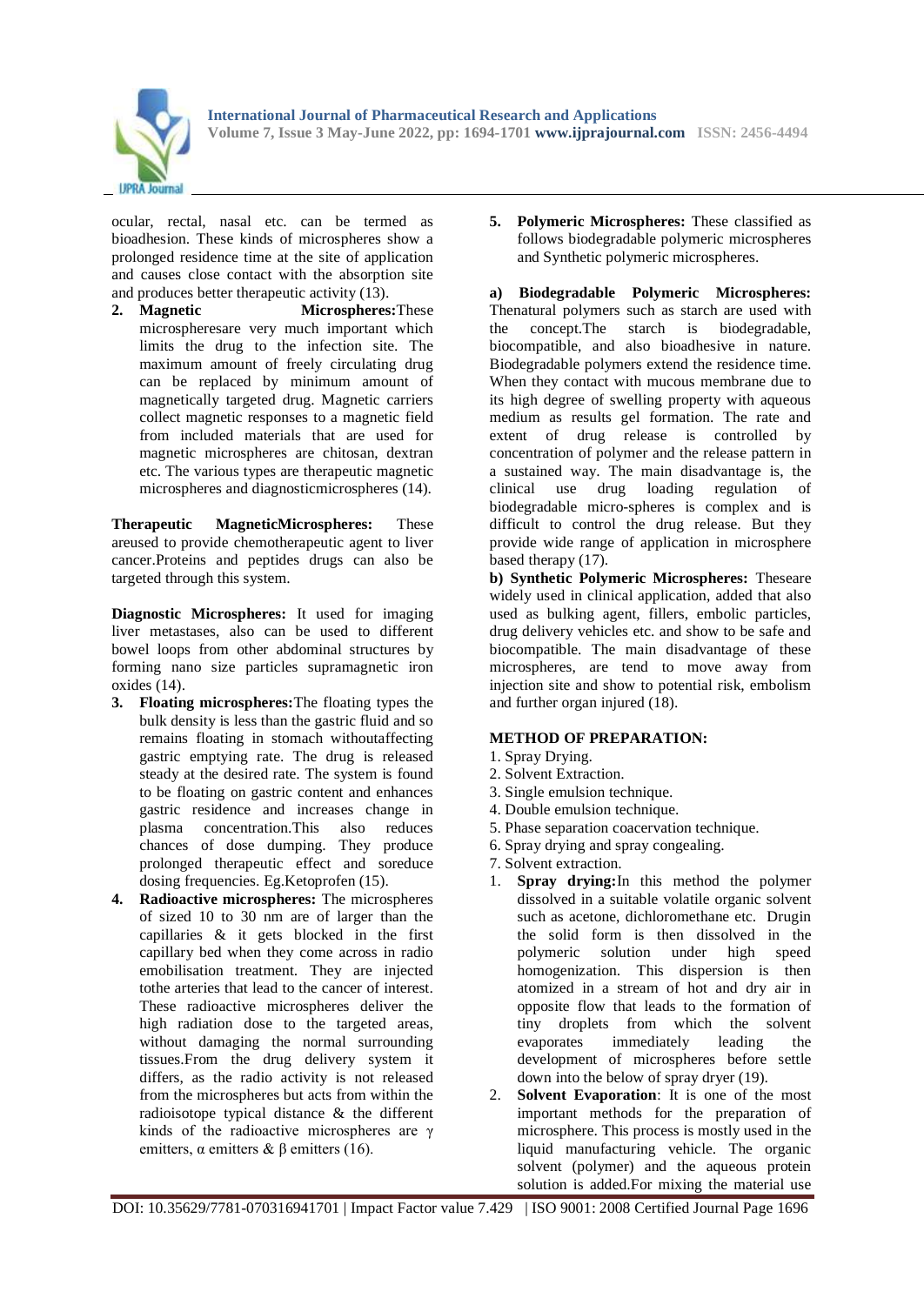

ocular, rectal, nasal etc. can be termed as bioadhesion. These kinds of microspheres show a prolonged residence time at the site of application and causes close contact with the absorption site and produces better therapeutic activity (13).

**2. Magnetic Microspheres:**These microspheresare very much important which limits the drug to the infection site. The maximum amount of freely circulating drug can be replaced by minimum amount of magnetically targeted drug. Magnetic carriers collect magnetic responses to a magnetic field from included materials that are used for magnetic microspheres are chitosan, dextran etc. The various types are therapeutic magnetic microspheres and diagnosticmicrospheres (14).

**Therapeutic MagneticMicrospheres:** These areused to provide chemotherapeutic agent to liver cancer.Proteins and peptides drugs can also be targeted through this system.

**Diagnostic Microspheres:** It used for imaging liver metastases, also can be used to different bowel loops from other abdominal structures by forming nano size particles supramagnetic iron oxides (14).

- **3. Floating microspheres:**The floating types the bulk density is less than the gastric fluid and so remains floating in stomach withoutaffecting gastric emptying rate. The drug is released steady at the desired rate. The system is found to be floating on gastric content and enhances gastric residence and increases change in plasma concentration.This also reduces chances of dose dumping. They produce prolonged therapeutic effect and soreduce dosing frequencies. Eg.Ketoprofen (15).
- **4. Radioactive microspheres:** The microspheres of sized 10 to 30 nm are of larger than the capillaries & it gets blocked in the first capillary bed when they come across in radio emobilisation treatment. They are injected tothe arteries that lead to the cancer of interest. These radioactive microspheres deliver the high radiation dose to the targeted areas, without damaging the normal surrounding tissues.From the drug delivery system it differs, as the radio activity is not released from the microspheres but acts from within the radioisotope typical distance & the different kinds of the radioactive microspheres are γ emitters,  $\alpha$  emitters  $\& \beta$  emitters (16).

**5. Polymeric Microspheres:** These classified as follows biodegradable polymeric microspheres and Synthetic polymeric microspheres.

**a) Biodegradable Polymeric Microspheres:** Thenatural polymers such as starch are used with the concept.The starch is biodegradable, biocompatible, and also bioadhesive in nature. Biodegradable polymers extend the residence time. When they contact with mucous membrane due to its high degree of swelling property with aqueous medium as results gel formation. The rate and extent of drug release is controlled by concentration of polymer and the release pattern in a sustained way. The main disadvantage is, the clinical use drug loading regulation of biodegradable micro-spheres is complex and is difficult to control the drug release. But they provide wide range of application in microsphere based therapy (17).

**b) Synthetic Polymeric Microspheres:** Theseare widely used in clinical application, added that also used as bulking agent, fillers, embolic particles, drug delivery vehicles etc. and show to be safe and biocompatible. The main disadvantage of these microspheres, are tend to move away from injection site and show to potential risk, embolism and further organ injured (18).

## **METHOD OF PREPARATION:**

- 1. Spray Drying.
- 2. Solvent Extraction.
- 3. Single emulsion technique.
- 4. Double emulsion technique.
- 5. Phase separation coacervation technique.
- 6. Spray drying and spray congealing.
- 7. Solvent extraction.
- 1. **Spray drying:**In this method the polymer dissolved in a suitable volatile organic solvent such as acetone, dichloromethane etc. Drugin the solid form is then dissolved in the polymeric solution under high speed homogenization. This dispersion is then atomized in a stream of hot and dry air in opposite flow that leads to the formation of tiny droplets from which the solvent evaporates immediately leading the development of microspheres before settle down into the below of spray dryer (19).
- 2. **Solvent Evaporation**: It is one of the most important methods for the preparation of microsphere. This process is mostly used in the liquid manufacturing vehicle. The organic solvent (polymer) and the aqueous protein solution is added.For mixing the material use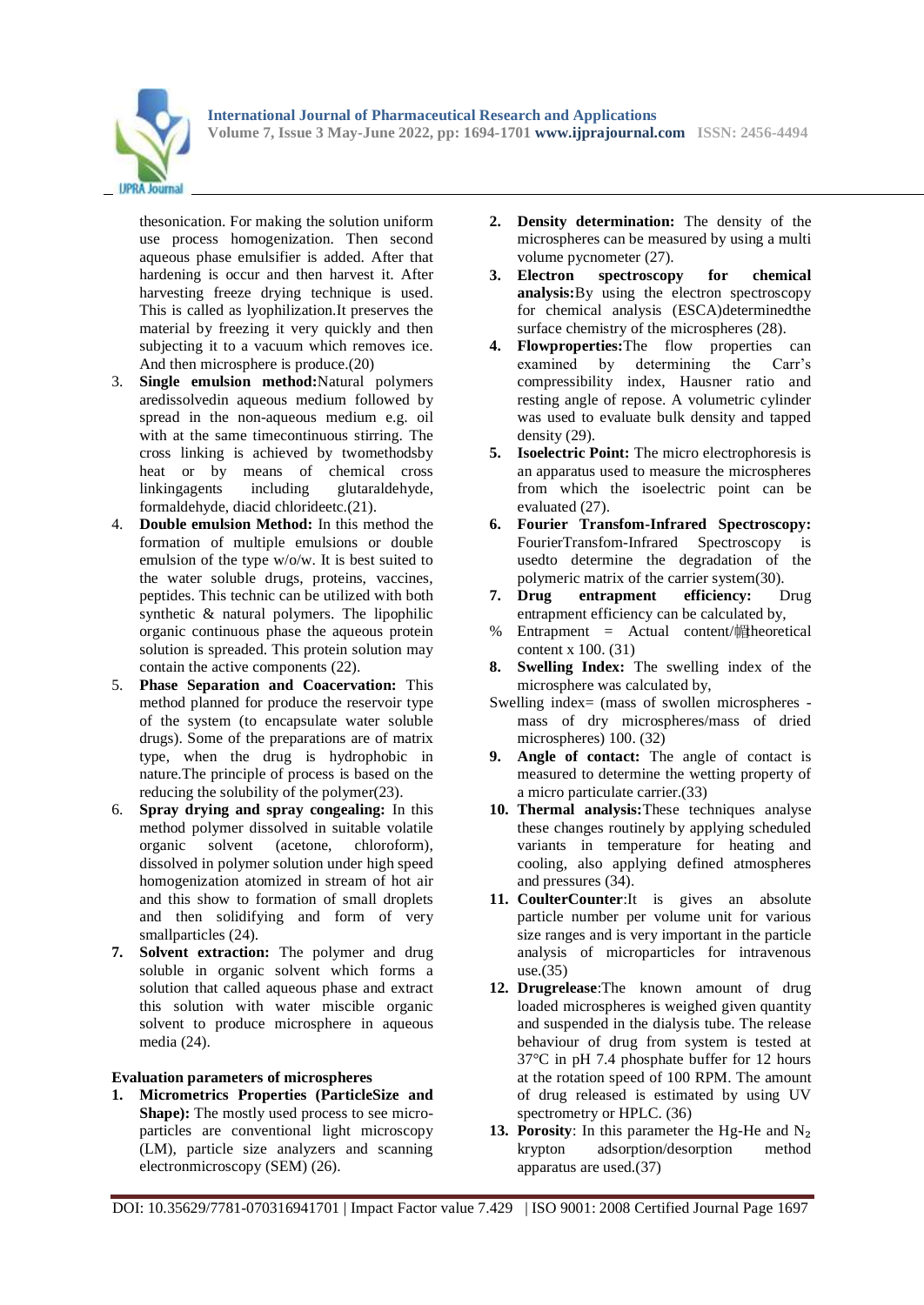

thesonication. For making the solution uniform use process homogenization. Then second aqueous phase emulsifier is added. After that hardening is occur and then harvest it. After harvesting freeze drying technique is used. This is called as lyophilization.It preserves the material by freezing it very quickly and then subjecting it to a vacuum which removes ice. And then microsphere is produce.(20)

- 3. **Single emulsion method:**Natural polymers aredissolvedin aqueous medium followed by spread in the non-aqueous medium e.g. oil with at the same timecontinuous stirring. The cross linking is achieved by twomethodsby heat or by means of chemical cross linkingagents including glutaraldehyde, formaldehyde, diacid chlorideetc.(21).
- 4. **Double emulsion Method:** In this method the formation of multiple emulsions or double emulsion of the type w/o/w. It is best suited to the water soluble drugs, proteins, vaccines, peptides. This technic can be utilized with both synthetic & natural polymers. The lipophilic organic continuous phase the aqueous protein solution is spreaded. This protein solution may contain the active components (22).
- 5. **Phase Separation and Coacervation:** This method planned for produce the reservoir type of the system (to encapsulate water soluble drugs). Some of the preparations are of matrix type, when the drug is hydrophobic in nature.The principle of process is based on the reducing the solubility of the polymer(23).
- 6. **Spray drying and spray congealing:** In this method polymer dissolved in suitable volatile<br>organic solvent (acetone, chloroform). organic solvent (acetone, chloroform), dissolved in polymer solution under high speed homogenization atomized in stream of hot air and this show to formation of small droplets and then solidifying and form of very smallparticles  $(24)$ .
- **7. Solvent extraction:** The polymer and drug soluble in organic solvent which forms a solution that called aqueous phase and extract this solution with water miscible organic solvent to produce microsphere in aqueous media (24).

## **Evaluation parameters of microspheres**

**1. Micrometrics Properties (ParticleSize and Shape):** The mostly used process to see microparticles are conventional light microscopy (LM), particle size analyzers and scanning electronmicroscopy (SEM) (26).

- **2. Density determination:** The density of the microspheres can be measured by using a multi volume pycnometer (27).
- **3. Electron spectroscopy for chemical analysis:**By using the electron spectroscopy for chemical analysis (ESCA)determinedthe surface chemistry of the microspheres (28).
- **4. Flowproperties:**The flow properties can examined by determining the Carr's compressibility index, Hausner ratio and resting angle of repose. A volumetric cylinder was used to evaluate bulk density and tapped density (29).
- **5. Isoelectric Point:** The micro electrophoresis is an apparatus used to measure the microspheres from which the isoelectric point can be evaluated (27).
- **6. Fourier Transfom-Infrared Spectroscopy:**  FourierTransfom-Infrared Spectroscopy is usedto determine the degradation of the
- polymeric matrix of the carrier system(30).<br>7. **Drug entrapment efficiency:** L **7. Drug entrapment efficiency:** Drug entrapment efficiency can be calculated by,
- % Entrapment = Actual content/ $#$ heoretical content x 100. (31)
- **8. Swelling Index:** The swelling index of the microsphere was calculated by,
- Swelling index= (mass of swollen microspheres mass of dry microspheres/mass of dried microspheres) 100. (32)
- **9. Angle of contact:** The angle of contact is measured to determine the wetting property of a micro particulate carrier.(33)
- **10. Thermal analysis:**These techniques analyse these changes routinely by applying scheduled variants in temperature for heating and cooling, also applying defined atmospheres and pressures (34).
- **11. CoulterCounter**:It is gives an absolute particle number per volume unit for various size ranges and is very important in the particle analysis of microparticles for intravenous use.(35)
- **12. Drugrelease**:The known amount of drug loaded microspheres is weighed given quantity and suspended in the dialysis tube. The release behaviour of drug from system is tested at 37°C in pH 7.4 phosphate buffer for 12 hours at the rotation speed of 100 RPM. The amount of drug released is estimated by using UV spectrometry or HPLC. (36)
- **13. Porosity**: In this parameter the Hg-He and N₂ krypton adsorption/desorption method apparatus are used.(37)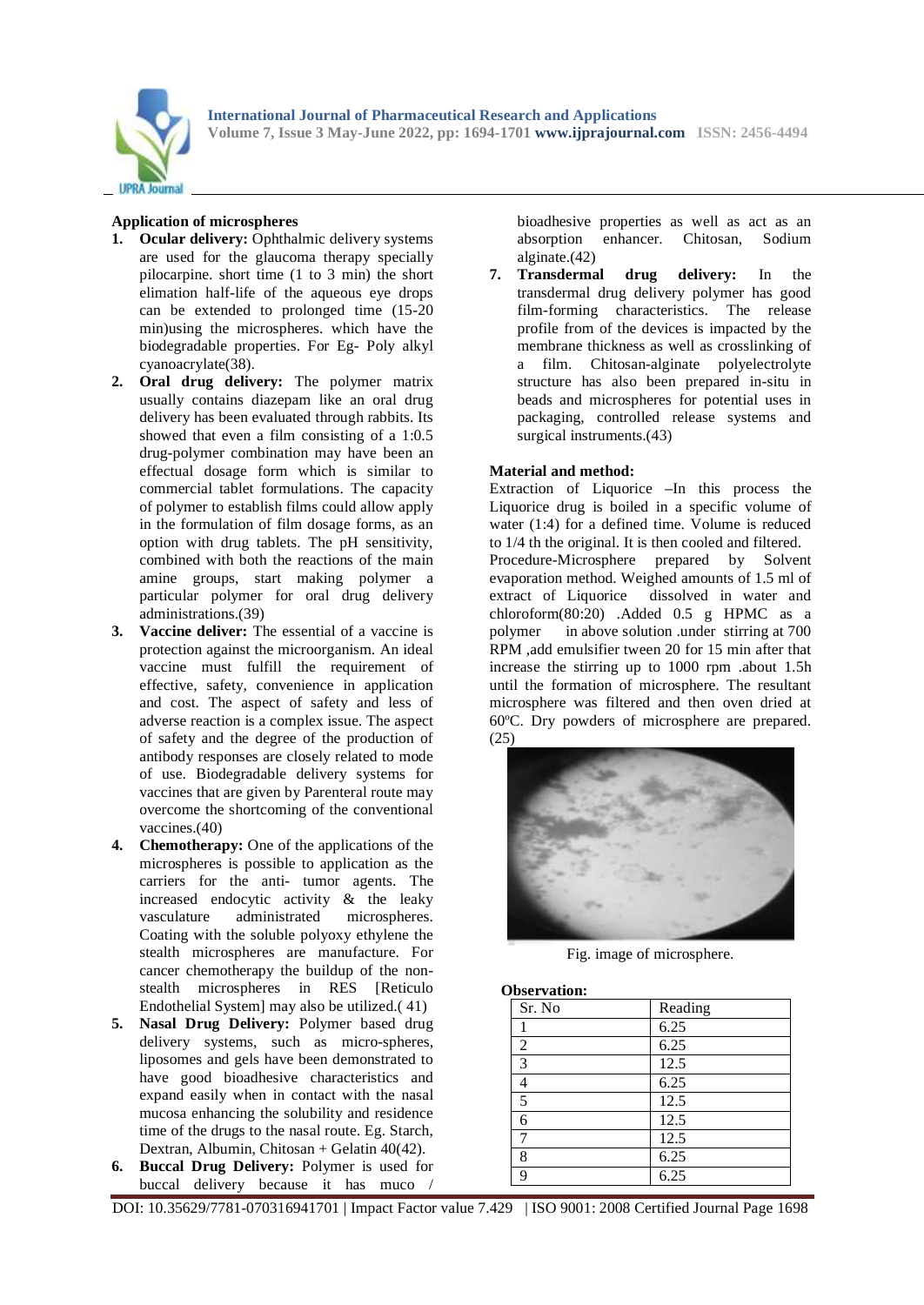

## **Application of microspheres**

- **1. Ocular delivery:** Ophthalmic delivery systems are used for the glaucoma therapy specially pilocarpine. short time (1 to 3 min) the short elimation half-life of the aqueous eye drops can be extended to prolonged time (15-20 min)using the microspheres. which have the biodegradable properties. For Eg- Poly alkyl cyanoacrylate(38).
- **2. Oral drug delivery:** The polymer matrix usually contains diazepam like an oral drug delivery has been evaluated through rabbits. Its showed that even a film consisting of a 1:0.5 drug-polymer combination may have been an effectual dosage form which is similar to commercial tablet formulations. The capacity of polymer to establish films could allow apply in the formulation of film dosage forms, as an option with drug tablets. The pH sensitivity, combined with both the reactions of the main amine groups, start making polymer a particular polymer for oral drug delivery administrations.(39)
- **3. Vaccine deliver:** The essential of a vaccine is protection against the microorganism. An ideal vaccine must fulfill the requirement of effective, safety, convenience in application and cost. The aspect of safety and less of adverse reaction is a complex issue. The aspect of safety and the degree of the production of antibody responses are closely related to mode of use. Biodegradable delivery systems for vaccines that are given by Parenteral route may overcome the shortcoming of the conventional vaccines.(40)
- **4. Chemotherapy:** One of the applications of the microspheres is possible to application as the carriers for the anti- tumor agents. The increased endocytic activity & the leaky vasculature administrated microspheres. Coating with the soluble polyoxy ethylene the stealth microspheres are manufacture. For cancer chemotherapy the buildup of the nonstealth microspheres in RES [Reticulo Endothelial System] may also be utilized.( 41)
- **5. Nasal Drug Delivery:** Polymer based drug delivery systems, such as micro-spheres, liposomes and gels have been demonstrated to have good bioadhesive characteristics and expand easily when in contact with the nasal mucosa enhancing the solubility and residence time of the drugs to the nasal route. Eg. Starch, Dextran, Albumin, Chitosan + Gelatin 40(42).
- **6. Buccal Drug Delivery:** Polymer is used for buccal delivery because it has muco

bioadhesive properties as well as act as an absorption enhancer. Chitosan, Sodium alginate.(42)

**7. Transdermal drug delivery:** In the transdermal drug delivery polymer has good film-forming characteristics. The release profile from of the devices is impacted by the membrane thickness as well as crosslinking of a film. Chitosan-alginate polyelectrolyte structure has also been prepared in-situ in beads and microspheres for potential uses in packaging, controlled release systems and surgical instruments.(43)

## **Material and method:**

Extraction of Liquorice **–**In this process the Liquorice drug is boiled in a specific volume of water (1:4) for a defined time. Volume is reduced to 1/4 th the original. It is then cooled and filtered. Procedure-Microsphere prepared by Solvent evaporation method. Weighed amounts of 1.5 ml of extract of Liquorice dissolved in water and chloroform(80:20) .Added 0.5 g HPMC as a polymer in above solution .under stirring at 700 RPM ,add emulsifier tween 20 for 15 min after that increase the stirring up to 1000 rpm .about 1.5h until the formation of microsphere. The resultant microsphere was filtered and then oven dried at 60ºC. Dry powders of microsphere are prepared. (25)



Fig. image of microsphere.

 **Observation:** 

| Sr. No         | Reading             |
|----------------|---------------------|
|                | 6.25                |
| $\overline{2}$ | 6.25                |
| 3              | 12.5                |
| 4              | 6.25                |
| 5              | 12.5                |
| 6              | 12.5                |
|                | 12.5                |
| 8              | $\frac{6.25}{6.25}$ |
| n              |                     |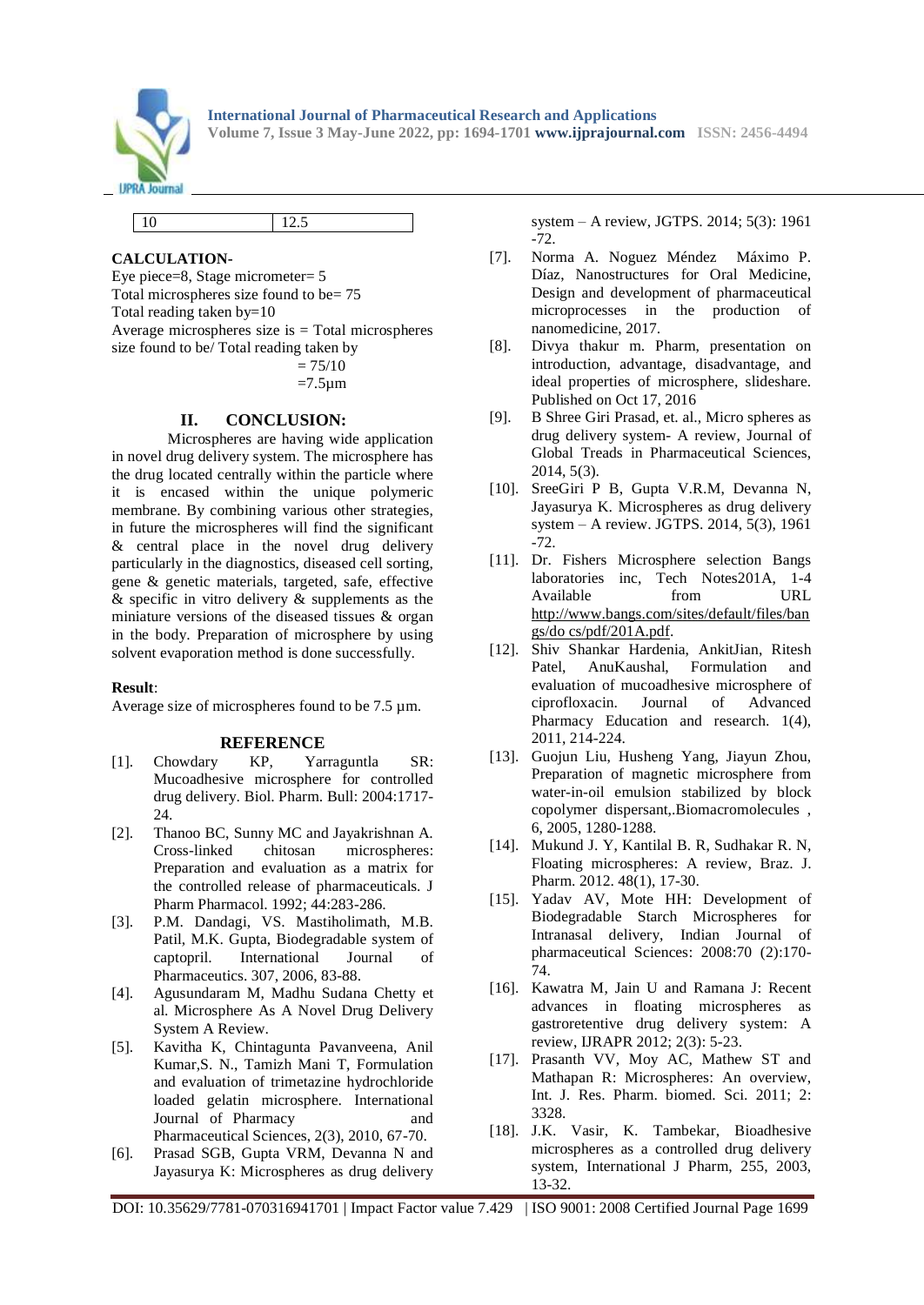

|--|

# **CALCULATION-**

Eye piece=8, Stage micrometer= 5 Total microspheres size found to be= 75 Total reading taken by=10 Average microspheres size is  $=$  Total microspheres size found to be/ Total reading taken by  $= 75/10$ 

 $=7.5 \mu m$ 

## **II. CONCLUSION:**

Microspheres are having wide application in novel drug delivery system. The microsphere has the drug located centrally within the particle where it is encased within the unique polymeric membrane. By combining various other strategies, in future the microspheres will find the significant & central place in the novel drug delivery particularly in the diagnostics, diseased cell sorting, gene & genetic materials, targeted, safe, effective  $\&$  specific in vitro delivery  $\&$  supplements as the miniature versions of the diseased tissues & organ in the body. Preparation of microsphere by using solvent evaporation method is done successfully.

## **Result**:

Average size of microspheres found to be 7.5 µm.

## **REFERENCE**

- [1]. Chowdary KP, Yarraguntla SR: Mucoadhesive microsphere for controlled drug delivery. Biol. Pharm. Bull: 2004:1717- 24.
- [2]. Thanoo BC, Sunny MC and Jayakrishnan A. Cross-linked chitosan microspheres: Preparation and evaluation as a matrix for the controlled release of pharmaceuticals. J Pharm Pharmacol. 1992; 44:283-286.
- [3]. P.M. Dandagi, VS. Mastiholimath, M.B. Patil, M.K. Gupta, Biodegradable system of captopril. International Journal of Pharmaceutics. 307, 2006, 83-88.
- [4]. Agusundaram M, Madhu Sudana Chetty et al. Microsphere As A Novel Drug Delivery System A Review.
- [5]. Kavitha K, Chintagunta Pavanveena, Anil Kumar,S. N., Tamizh Mani T, Formulation and evaluation of trimetazine hydrochloride loaded gelatin microsphere. International Journal of Pharmacy and Pharmaceutical Sciences, 2(3), 2010, 67-70.
- [6]. Prasad SGB, Gupta VRM, Devanna N and Jayasurya K: Microspheres as drug delivery

system – A review, JGTPS. 2014; 5(3): 1961 -72.

- [7]. Norma A. Noguez Méndez Máximo P. Díaz, Nanostructures for Oral Medicine, Design and development of pharmaceutical microprocesses in the production of nanomedicine, 2017.
- [8]. Divya thakur m. Pharm, presentation on introduction, advantage, disadvantage, and ideal properties of microsphere, slideshare. Published on Oct 17, 2016
- [9]. B Shree Giri Prasad, et. al., Micro spheres as drug delivery system- A review, Journal of Global Treads in Pharmaceutical Sciences, 2014, 5(3).
- [10]. SreeGiri P B, Gupta V.R.M, Devanna N, Jayasurya K. Microspheres as drug delivery system – A review. JGTPS. 2014, 5(3), 1961 -72.
- [11]. Dr. Fishers Microsphere selection Bangs laboratories inc, Tech Notes201A, 1-4 Available from URL [http://www.bangs.com/sites/default/files/ban](http://www.bangs.com/sites/default/files/bangs/do%20cs/pdf/201A.pdf) [gs/do cs/pdf/201A.pdf.](http://www.bangs.com/sites/default/files/bangs/do%20cs/pdf/201A.pdf)
- [12]. Shiv Shankar Hardenia, AnkitJian, Ritesh Patel, AnuKaushal, Formulation and evaluation of mucoadhesive microsphere of ciprofloxacin. Journal of Advanced Pharmacy Education and research. 1(4), 2011, 214-224.
- [13]. Guojun Liu, Husheng Yang, Jiayun Zhou, Preparation of magnetic microsphere from water-in-oil emulsion stabilized by block copolymer dispersant,.Biomacromolecules , 6, 2005, 1280-1288.
- [14]. Mukund J. Y, Kantilal B. R, Sudhakar R. N, Floating microspheres: A review, Braz. J. Pharm. 2012. 48(1), 17-30.
- [15]. Yadav AV, Mote HH: Development of Biodegradable Starch Microspheres for Intranasal delivery, Indian Journal of pharmaceutical Sciences: 2008:70 (2):170- 74.
- [16]. Kawatra M, Jain U and Ramana J: Recent advances in floating microspheres as gastroretentive drug delivery system: A review, IJRAPR 2012; 2(3): 5-23.
- [17]. Prasanth VV, Moy AC, Mathew ST and Mathapan R: Microspheres: An overview, Int. J. Res. Pharm. biomed. Sci. 2011; 2: 3328.
- [18]. J.K. Vasir, K. Tambekar, Bioadhesive microspheres as a controlled drug delivery system, International J Pharm, 255, 2003, 13-32.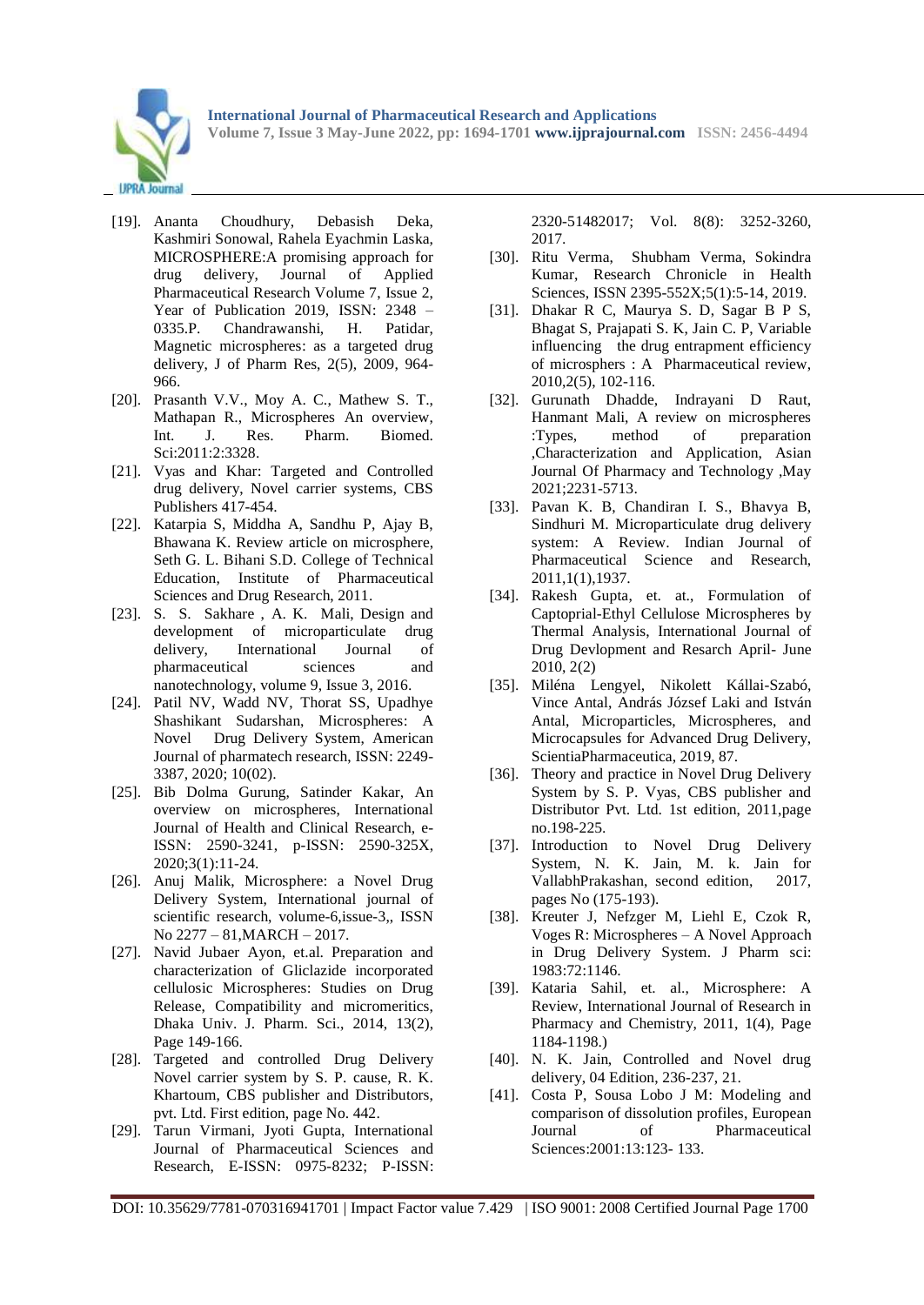

- [19]. Ananta Choudhury, Debasish Deka, Kashmiri Sonowal, Rahela Eyachmin Laska, MICROSPHERE:A promising approach for drug delivery, Journal of Applied Pharmaceutical Research Volume 7, Issue 2, Year of Publication 2019, ISSN: 2348 – 0335.P. Chandrawanshi, H. Patidar, Magnetic microspheres: as a targeted drug delivery, J of Pharm Res, 2(5), 2009, 964- 966.
- [20]. Prasanth V.V., Moy A. C., Mathew S. T., Mathapan R., Microspheres An overview, Int. J. Res. Pharm. Biomed. Sci:2011:2:3328.
- [21]. Vyas and Khar: Targeted and Controlled drug delivery, Novel carrier systems, CBS Publishers 417-454.
- [22]. Katarpia S, Middha A, Sandhu P, Ajay B, Bhawana K. Review article on microsphere, Seth G. L. Bihani S.D. College of Technical Education, Institute of Pharmaceutical Sciences and Drug Research, 2011.
- [23]. S. S. Sakhare, A. K. Mali, Design and development of microparticulate drug delivery, International Journal of pharmaceutical sciences and nanotechnology, volume 9, Issue 3, 2016.
- [24]. Patil NV, Wadd NV, Thorat SS, Upadhye Shashikant Sudarshan, Microspheres: A Novel Drug Delivery System, American Journal of pharmatech research, ISSN: 2249- 3387, 2020; 10(02).
- [25]. Bib Dolma Gurung, Satinder Kakar, An overview on microspheres, International Journal of Health and Clinical Research, e-ISSN: 2590-3241, p-ISSN: 2590-325X, 2020;3(1):11-24.
- [26]. Anuj Malik, Microsphere: a Novel Drug Delivery System, International journal of scientific research, volume-6,issue-3,, ISSN No 2277 – 81,MARCH – 2017.
- [27]. Navid Jubaer Ayon, et.al. Preparation and characterization of Gliclazide incorporated cellulosic Microspheres: Studies on Drug Release, Compatibility and micromeritics, Dhaka Univ. J. Pharm. Sci., 2014, 13(2), Page 149-166.
- [28]. Targeted and controlled Drug Delivery Novel carrier system by S. P. cause, R. K. Khartoum, CBS publisher and Distributors, pvt. Ltd. First edition, page No. 442.
- [29]. Tarun Virmani, Jyoti Gupta, International Journal of Pharmaceutical Sciences and Research, E-ISSN: 0975-8232; P-ISSN:

2320-51482017; Vol. 8(8): 3252-3260, 2017.

- [30]. Ritu Verma, Shubham Verma, Sokindra Kumar, Research Chronicle in Health Sciences, ISSN 2395-552X;5(1):5-14, 2019.
- [31]. Dhakar R C, Maurya S. D, Sagar B P S, Bhagat S, Prajapati S. K, Jain C. P, Variable influencing the drug entrapment efficiency of microsphers : A Pharmaceutical review, 2010,2(5), 102-116.
- [32]. Gurunath Dhadde, Indrayani D Raut, Hanmant Mali, A review on microspheres :Types, method of preparation ,Characterization and Application, Asian Journal Of Pharmacy and Technology ,May 2021;2231-5713.
- [33]. Pavan K. B, Chandiran I. S., Bhavya B, Sindhuri M. Microparticulate drug delivery system: A Review. Indian Journal of Pharmaceutical Science and Research, 2011,1(1),1937.
- [34]. Rakesh Gupta, et. at., Formulation of Captoprial-Ethyl Cellulose Microspheres by Thermal Analysis, International Journal of Drug Devlopment and Resarch April- June 2010, 2(2)
- [35]. Miléna Lengyel, Nikolett Kállai-Szabó, Vince Antal, András József Laki and István Antal, Microparticles, Microspheres, and Microcapsules for Advanced Drug Delivery, ScientiaPharmaceutica, 2019, 87.
- [36]. Theory and practice in Novel Drug Delivery System by S. P. Vyas, CBS publisher and Distributor Pvt. Ltd. 1st edition, 2011,page no.198-225.
- [37]. Introduction to Novel Drug Delivery System, N. K. Jain, M. k. Jain for VallabhPrakashan, second edition, 2017, pages No (175-193).
- [38]. Kreuter J, Nefzger M, Liehl E, Czok R, Voges R: Microspheres – A Novel Approach in Drug Delivery System. J Pharm sci: 1983:72:1146.
- [39]. Kataria Sahil, et. al., Microsphere: A Review, International Journal of Research in Pharmacy and Chemistry, 2011, 1(4), Page 1184-1198.)
- [40]. N. K. Jain, Controlled and Novel drug delivery, 04 Edition, 236-237, 21.
- [41]. Costa P, Sousa Lobo J M: Modeling and comparison of dissolution profiles, European Journal of Pharmaceutical Sciences:2001:13:123- 133.